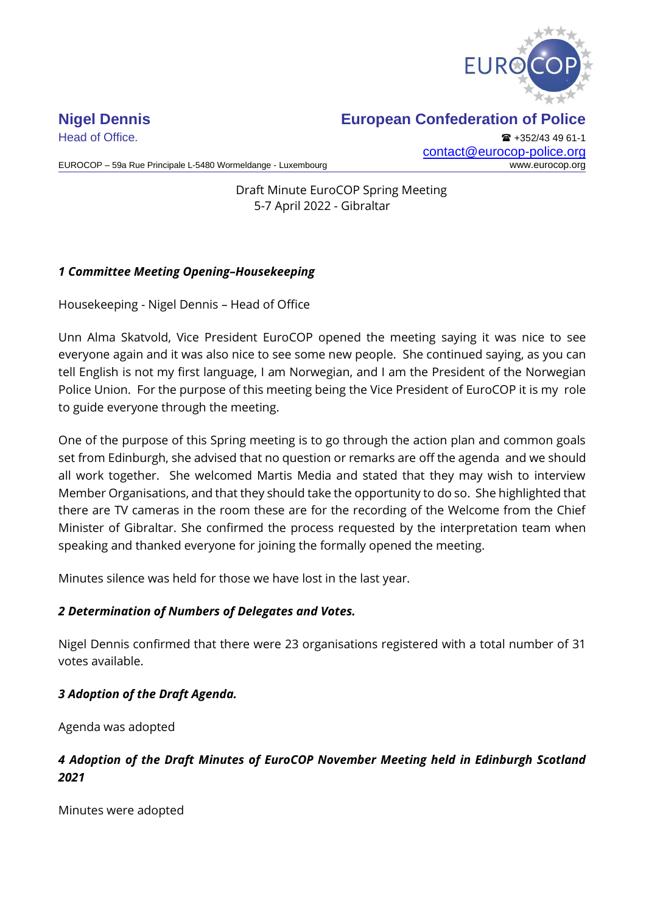

Head of Office. **All and Secure 2018** +352/43 49 61-1 [contact@eurocop-police.org](mailto:jv@eurocop-police.org)

EUROCOP – 59a Rue Principale L-5480 Wormeldange - Luxembourg www.eurocop.org

Draft Minute EuroCOP Spring Meeting 5-7 April 2022 - Gibraltar

## *1 Committee Meeting Opening–Housekeeping*

Housekeeping - Nigel Dennis – Head of Office

Unn Alma Skatvold, Vice President EuroCOP opened the meeting saying it was nice to see everyone again and it was also nice to see some new people. She continued saying, as you can tell English is not my first language, I am Norwegian, and I am the President of the Norwegian Police Union. For the purpose of this meeting being the Vice President of EuroCOP it is my role to guide everyone through the meeting.

One of the purpose of this Spring meeting is to go through the action plan and common goals set from Edinburgh, she advised that no question or remarks are off the agenda and we should all work together. She welcomed Martis Media and stated that they may wish to interview Member Organisations, and that they should take the opportunity to do so. She highlighted that there are TV cameras in the room these are for the recording of the Welcome from the Chief Minister of Gibraltar. She confirmed the process requested by the interpretation team when speaking and thanked everyone for joining the formally opened the meeting.

Minutes silence was held for those we have lost in the last year.

## *2 Determination of Numbers of Delegates and Votes.*

Nigel Dennis confirmed that there were 23 organisations registered with a total number of 31 votes available.

## *3 Adoption of the Draft Agenda.*

Agenda was adopted

## *4 Adoption of the Draft Minutes of EuroCOP November Meeting held in Edinburgh Scotland 2021*

Minutes were adopted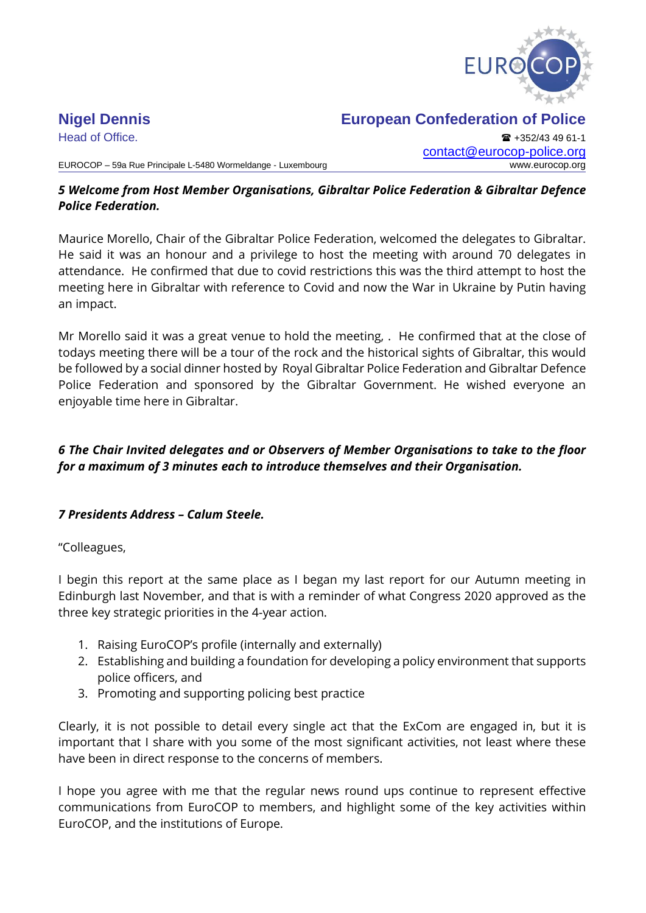

## **Nigel Dennis European Confederation of Police**

Head of Office. **+352/43 49 61-1** [contact@eurocop-police.org](mailto:jv@eurocop-police.org)

### *5 Welcome from Host Member Organisations, Gibraltar Police Federation & Gibraltar Defence Police Federation.*

Maurice Morello, Chair of the Gibraltar Police Federation, welcomed the delegates to Gibraltar. He said it was an honour and a privilege to host the meeting with around 70 delegates in attendance. He confirmed that due to covid restrictions this was the third attempt to host the meeting here in Gibraltar with reference to Covid and now the War in Ukraine by Putin having an impact.

Mr Morello said it was a great venue to hold the meeting, . He confirmed that at the close of todays meeting there will be a tour of the rock and the historical sights of Gibraltar, this would be followed by a social dinner hosted by Royal Gibraltar Police Federation and Gibraltar Defence Police Federation and sponsored by the Gibraltar Government. He wished everyone an enjoyable time here in Gibraltar.

## *6 The Chair Invited delegates and or Observers of Member Organisations to take to the floor for a maximum of 3 minutes each to introduce themselves and their Organisation.*

## *7 Presidents Address – Calum Steele.*

"Colleagues,

I begin this report at the same place as I began my last report for our Autumn meeting in Edinburgh last November, and that is with a reminder of what Congress 2020 approved as the three key strategic priorities in the 4-year action.

- 1. Raising EuroCOP's profile (internally and externally)
- 2. Establishing and building a foundation for developing a policy environment that supports police officers, and
- 3. Promoting and supporting policing best practice

Clearly, it is not possible to detail every single act that the ExCom are engaged in, but it is important that I share with you some of the most significant activities, not least where these have been in direct response to the concerns of members.

I hope you agree with me that the regular news round ups continue to represent effective communications from EuroCOP to members, and highlight some of the key activities within EuroCOP, and the institutions of Europe.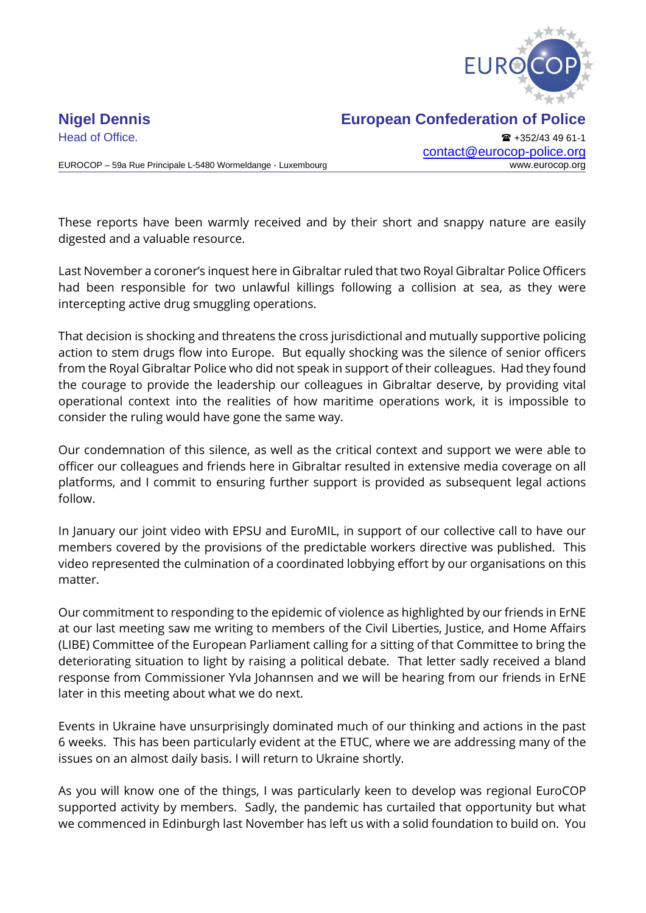

# Head of Office. **All and Secure 2018** +352/43 49 61-1

EUROCOP – 59a Rue Principale L-5480 Wormeldange - Luxembourg www.eurocop.org

## **Nigel Dennis European Confederation of Police**

[contact@eurocop-police.org](mailto:jv@eurocop-police.org)

These reports have been warmly received and by their short and snappy nature are easily digested and a valuable resource.

Last November a coroner's inquest here in Gibraltar ruled that two Royal Gibraltar Police Officers had been responsible for two unlawful killings following a collision at sea, as they were intercepting active drug smuggling operations.

That decision is shocking and threatens the cross jurisdictional and mutually supportive policing action to stem drugs flow into Europe. But equally shocking was the silence of senior officers from the Royal Gibraltar Police who did not speak in support of their colleagues. Had they found the courage to provide the leadership our colleagues in Gibraltar deserve, by providing vital operational context into the realities of how maritime operations work, it is impossible to consider the ruling would have gone the same way.

Our condemnation of this silence, as well as the critical context and support we were able to officer our colleagues and friends here in Gibraltar resulted in extensive media coverage on all platforms, and I commit to ensuring further support is provided as subsequent legal actions follow.

In January our joint video with EPSU and EuroMIL, in support of our collective call to have our members covered by the provisions of the predictable workers directive was published. This video represented the culmination of a coordinated lobbying effort by our organisations on this matter.

Our commitment to responding to the epidemic of violence as highlighted by our friends in ErNE at our last meeting saw me writing to members of the Civil Liberties, Justice, and Home Affairs (LIBE) Committee of the European Parliament calling for a sitting of that Committee to bring the deteriorating situation to light by raising a political debate. That letter sadly received a bland response from Commissioner Yvla Johannsen and we will be hearing from our friends in ErNE later in this meeting about what we do next.

Events in Ukraine have unsurprisingly dominated much of our thinking and actions in the past 6 weeks. This has been particularly evident at the ETUC, where we are addressing many of the issues on an almost daily basis. I will return to Ukraine shortly.

As you will know one of the things, I was particularly keen to develop was regional EuroCOP supported activity by members. Sadly, the pandemic has curtailed that opportunity but what we commenced in Edinburgh last November has left us with a solid foundation to build on. You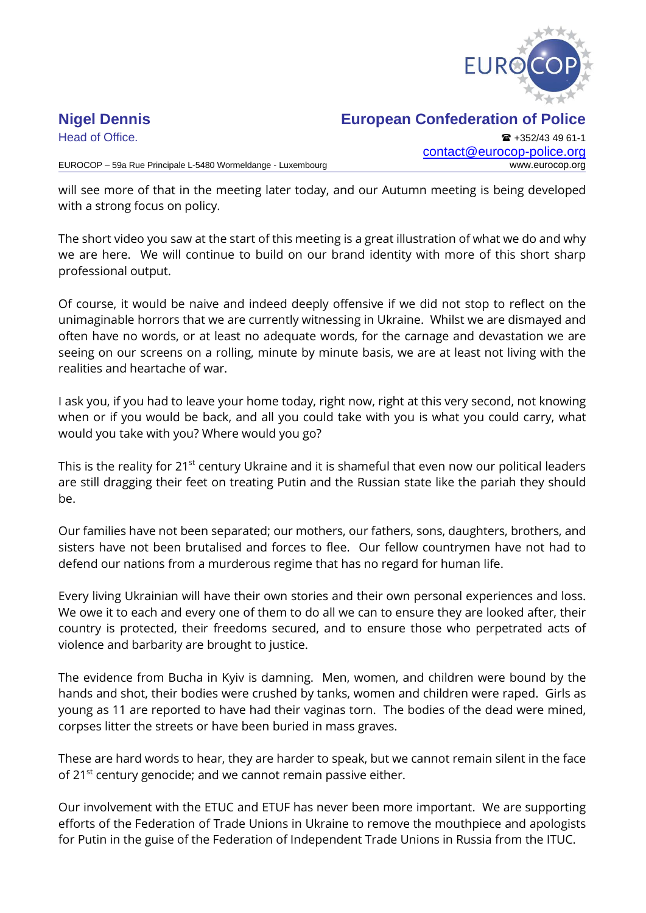

## **Nigel Dennis European Confederation of Police**

Head of Office. **All and Secure 2018** +352/43 49 61-1 [contact@eurocop-police.org](mailto:jv@eurocop-police.org)

will see more of that in the meeting later today, and our Autumn meeting is being developed with a strong focus on policy.

The short video you saw at the start of this meeting is a great illustration of what we do and why we are here. We will continue to build on our brand identity with more of this short sharp professional output.

Of course, it would be naive and indeed deeply offensive if we did not stop to reflect on the unimaginable horrors that we are currently witnessing in Ukraine. Whilst we are dismayed and often have no words, or at least no adequate words, for the carnage and devastation we are seeing on our screens on a rolling, minute by minute basis, we are at least not living with the realities and heartache of war.

I ask you, if you had to leave your home today, right now, right at this very second, not knowing when or if you would be back, and all you could take with you is what you could carry, what would you take with you? Where would you go?

This is the reality for 21<sup>st</sup> century Ukraine and it is shameful that even now our political leaders are still dragging their feet on treating Putin and the Russian state like the pariah they should be.

Our families have not been separated; our mothers, our fathers, sons, daughters, brothers, and sisters have not been brutalised and forces to flee. Our fellow countrymen have not had to defend our nations from a murderous regime that has no regard for human life.

Every living Ukrainian will have their own stories and their own personal experiences and loss. We owe it to each and every one of them to do all we can to ensure they are looked after, their country is protected, their freedoms secured, and to ensure those who perpetrated acts of violence and barbarity are brought to justice.

The evidence from Bucha in Kyiv is damning. Men, women, and children were bound by the hands and shot, their bodies were crushed by tanks, women and children were raped. Girls as young as 11 are reported to have had their vaginas torn. The bodies of the dead were mined, corpses litter the streets or have been buried in mass graves.

These are hard words to hear, they are harder to speak, but we cannot remain silent in the face of 21<sup>st</sup> century genocide; and we cannot remain passive either.

Our involvement with the ETUC and ETUF has never been more important. We are supporting efforts of the Federation of Trade Unions in Ukraine to remove the mouthpiece and apologists for Putin in the guise of the Federation of Independent Trade Unions in Russia from the ITUC.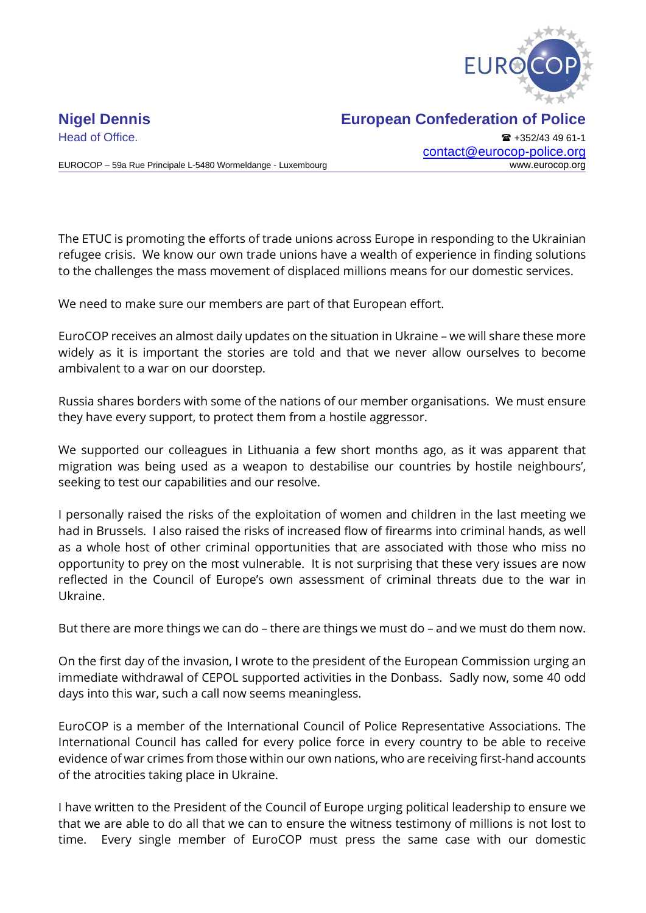

EUROCOP – 59a Rue Principale L-5480 Wormeldange - Luxembourg www.eurocop.org

Head of Office. **+352/43 49 61-1** [contact@eurocop-police.org](mailto:jv@eurocop-police.org)

The ETUC is promoting the efforts of trade unions across Europe in responding to the Ukrainian refugee crisis. We know our own trade unions have a wealth of experience in finding solutions to the challenges the mass movement of displaced millions means for our domestic services.

We need to make sure our members are part of that European effort.

EuroCOP receives an almost daily updates on the situation in Ukraine – we will share these more widely as it is important the stories are told and that we never allow ourselves to become ambivalent to a war on our doorstep.

Russia shares borders with some of the nations of our member organisations. We must ensure they have every support, to protect them from a hostile aggressor.

We supported our colleagues in Lithuania a few short months ago, as it was apparent that migration was being used as a weapon to destabilise our countries by hostile neighbours', seeking to test our capabilities and our resolve.

I personally raised the risks of the exploitation of women and children in the last meeting we had in Brussels. I also raised the risks of increased flow of firearms into criminal hands, as well as a whole host of other criminal opportunities that are associated with those who miss no opportunity to prey on the most vulnerable. It is not surprising that these very issues are now reflected in the Council of Europe's own assessment of criminal threats due to the war in Ukraine.

But there are more things we can do – there are things we must do – and we must do them now.

On the first day of the invasion, I wrote to the president of the European Commission urging an immediate withdrawal of CEPOL supported activities in the Donbass. Sadly now, some 40 odd days into this war, such a call now seems meaningless.

EuroCOP is a member of the International Council of Police Representative Associations. The International Council has called for every police force in every country to be able to receive evidence of war crimes from those within our own nations, who are receiving first-hand accounts of the atrocities taking place in Ukraine.

I have written to the President of the Council of Europe urging political leadership to ensure we that we are able to do all that we can to ensure the witness testimony of millions is not lost to time. Every single member of EuroCOP must press the same case with our domestic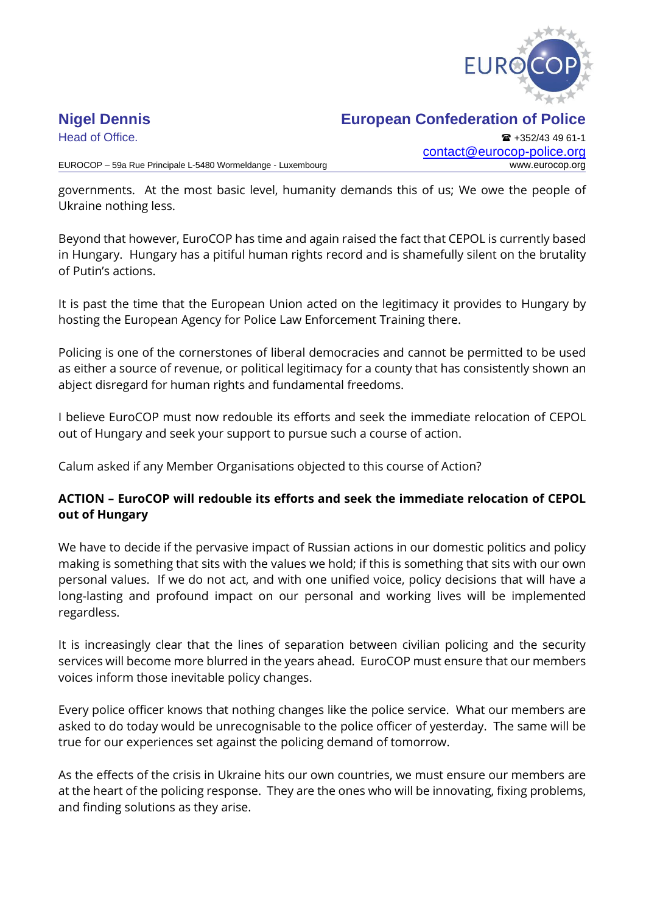

## **Nigel Dennis European Confederation of Police**

Head of Office. **+352/43 49 61-1** [contact@eurocop-police.org](mailto:jv@eurocop-police.org)

governments. At the most basic level, humanity demands this of us; We owe the people of Ukraine nothing less.

Beyond that however, EuroCOP has time and again raised the fact that CEPOL is currently based in Hungary. Hungary has a pitiful human rights record and is shamefully silent on the brutality of Putin's actions.

It is past the time that the European Union acted on the legitimacy it provides to Hungary by hosting the European Agency for Police Law Enforcement Training there.

Policing is one of the cornerstones of liberal democracies and cannot be permitted to be used as either a source of revenue, or political legitimacy for a county that has consistently shown an abject disregard for human rights and fundamental freedoms.

I believe EuroCOP must now redouble its efforts and seek the immediate relocation of CEPOL out of Hungary and seek your support to pursue such a course of action.

Calum asked if any Member Organisations objected to this course of Action?

## **ACTION – EuroCOP will redouble its efforts and seek the immediate relocation of CEPOL out of Hungary**

We have to decide if the pervasive impact of Russian actions in our domestic politics and policy making is something that sits with the values we hold; if this is something that sits with our own personal values. If we do not act, and with one unified voice, policy decisions that will have a long-lasting and profound impact on our personal and working lives will be implemented regardless.

It is increasingly clear that the lines of separation between civilian policing and the security services will become more blurred in the years ahead. EuroCOP must ensure that our members voices inform those inevitable policy changes.

Every police officer knows that nothing changes like the police service. What our members are asked to do today would be unrecognisable to the police officer of yesterday. The same will be true for our experiences set against the policing demand of tomorrow.

As the effects of the crisis in Ukraine hits our own countries, we must ensure our members are at the heart of the policing response. They are the ones who will be innovating, fixing problems, and finding solutions as they arise.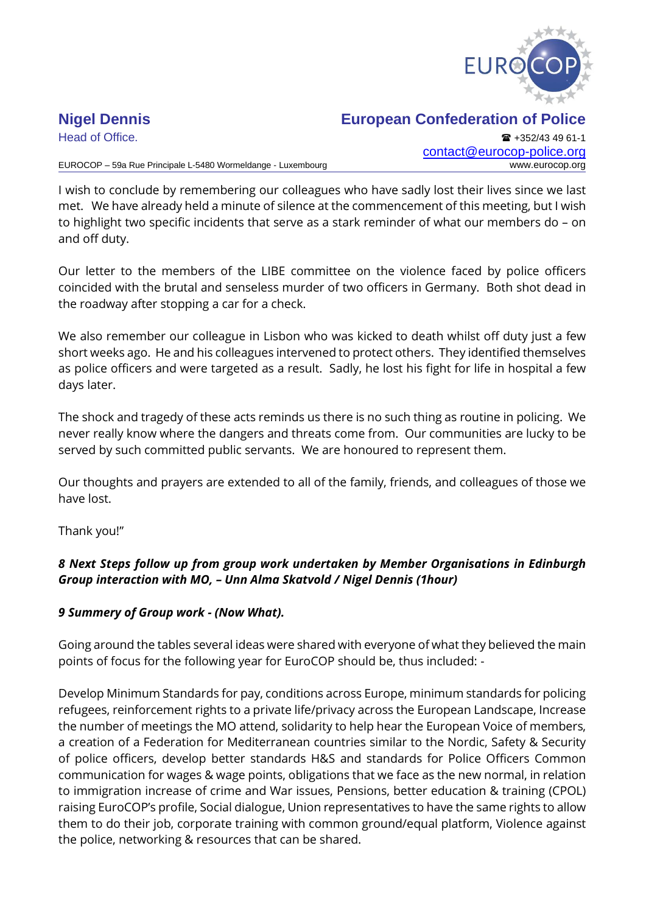

## **Nigel Dennis European Confederation of Police**

Head of Office. **+352/43 49 61-1** [contact@eurocop-police.org](mailto:jv@eurocop-police.org)

I wish to conclude by remembering our colleagues who have sadly lost their lives since we last met. We have already held a minute of silence at the commencement of this meeting, but I wish to highlight two specific incidents that serve as a stark reminder of what our members do – on and off duty.

Our letter to the members of the LIBE committee on the violence faced by police officers coincided with the brutal and senseless murder of two officers in Germany. Both shot dead in the roadway after stopping a car for a check.

We also remember our colleague in Lisbon who was kicked to death whilst off duty just a few short weeks ago. He and his colleagues intervened to protect others. They identified themselves as police officers and were targeted as a result. Sadly, he lost his fight for life in hospital a few days later.

The shock and tragedy of these acts reminds us there is no such thing as routine in policing. We never really know where the dangers and threats come from. Our communities are lucky to be served by such committed public servants. We are honoured to represent them.

Our thoughts and prayers are extended to all of the family, friends, and colleagues of those we have lost.

Thank you!"

## *8 Next Steps follow up from group work undertaken by Member Organisations in Edinburgh Group interaction with MO, – Unn Alma Skatvold / Nigel Dennis (1hour)*

## *9 Summery of Group work - (Now What).*

Going around the tables several ideas were shared with everyone of what they believed the main points of focus for the following year for EuroCOP should be, thus included: -

Develop Minimum Standards for pay, conditions across Europe, minimum standards for policing refugees, reinforcement rights to a private life/privacy across the European Landscape, Increase the number of meetings the MO attend, solidarity to help hear the European Voice of members, a creation of a Federation for Mediterranean countries similar to the Nordic, Safety & Security of police officers, develop better standards H&S and standards for Police Officers Common communication for wages & wage points, obligations that we face as the new normal, in relation to immigration increase of crime and War issues, Pensions, better education & training (CPOL) raising EuroCOP's profile, Social dialogue, Union representatives to have the same rights to allow them to do their job, corporate training with common ground/equal platform, Violence against the police, networking & resources that can be shared.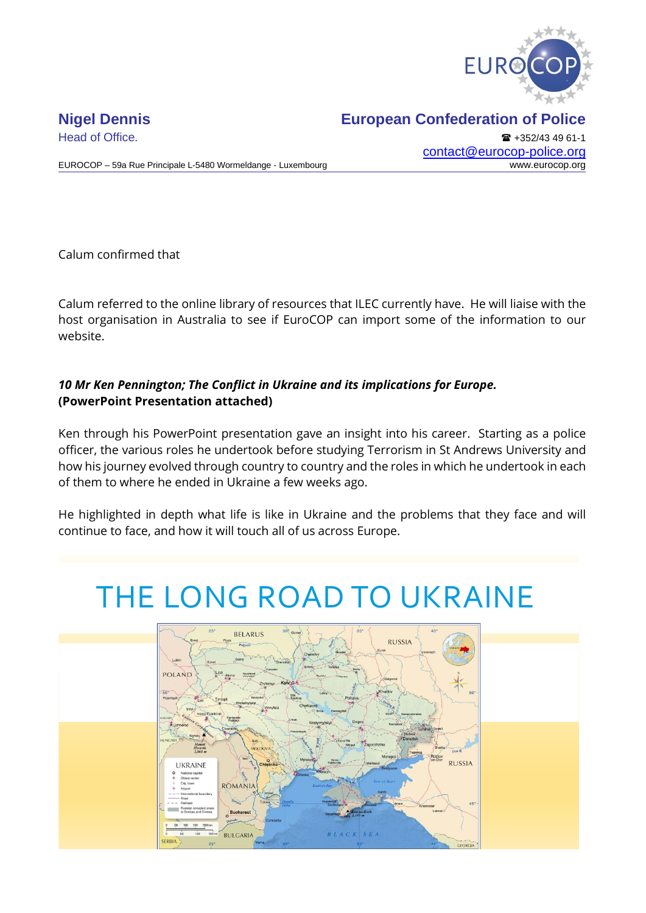

Head of Office. **All and Secure 2018** +352/43 49 61-1 [contact@eurocop-police.org](mailto:jv@eurocop-police.org)

EUROCOP – 59a Rue Principale L-5480 Wormeldange - Luxembourg www.eurocop.org

Calum confirmed that

Calum referred to the online library of resources that ILEC currently have. He will liaise with the host organisation in Australia to see if EuroCOP can import some of the information to our website.

## *10 Mr Ken Pennington; The Conflict in Ukraine and its implications for Europe.* **(PowerPoint Presentation attached)**

Ken through his PowerPoint presentation gave an insight into his career. Starting as a police officer, the various roles he undertook before studying Terrorism in St Andrews University and how his journey evolved through country to country and the roles in which he undertook in each of them to where he ended in Ukraine a few weeks ago.

He highlighted in depth what life is like in Ukraine and the problems that they face and will continue to face, and how it will touch all of us across Europe.

# THE LONG ROAD TO UKRAINE

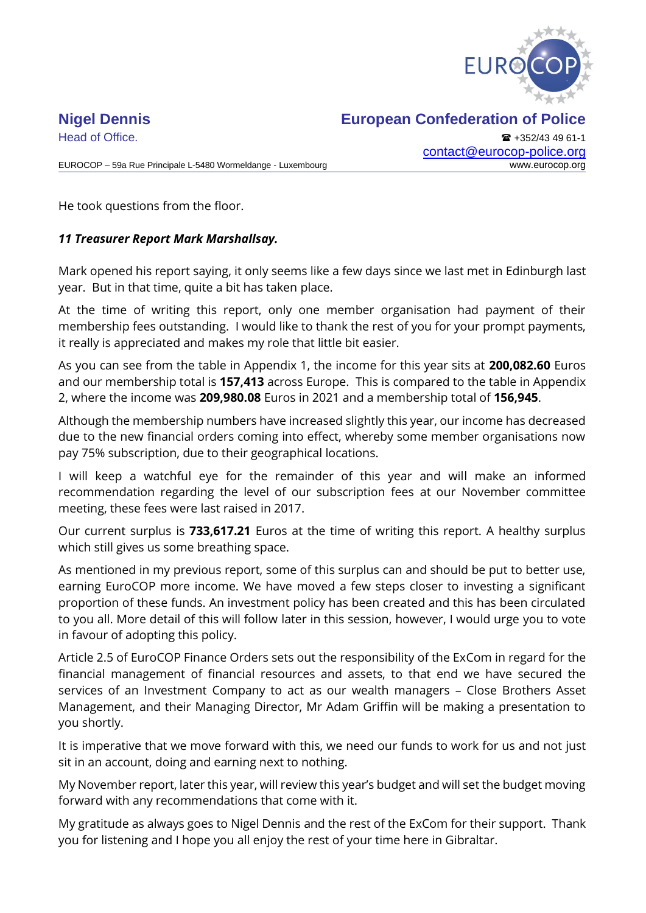

Head of Office. **All and Secure 2018** +352/43 49 61-1 [contact@eurocop-police.org](mailto:jv@eurocop-police.org)

EUROCOP – 59a Rue Principale L-5480 Wormeldange - Luxembourg www.eurocop.org

He took questions from the floor.

## *11 Treasurer Report Mark Marshallsay.*

Mark opened his report saying, it only seems like a few days since we last met in Edinburgh last year. But in that time, quite a bit has taken place.

At the time of writing this report, only one member organisation had payment of their membership fees outstanding. I would like to thank the rest of you for your prompt payments, it really is appreciated and makes my role that little bit easier.

As you can see from the table in Appendix 1, the income for this year sits at **200,082.60** Euros and our membership total is **157,413** across Europe. This is compared to the table in Appendix 2, where the income was **209,980.08** Euros in 2021 and a membership total of **156,945**.

Although the membership numbers have increased slightly this year, our income has decreased due to the new financial orders coming into effect, whereby some member organisations now pay 75% subscription, due to their geographical locations.

I will keep a watchful eye for the remainder of this year and will make an informed recommendation regarding the level of our subscription fees at our November committee meeting, these fees were last raised in 2017.

Our current surplus is **733,617.21** Euros at the time of writing this report. A healthy surplus which still gives us some breathing space.

As mentioned in my previous report, some of this surplus can and should be put to better use, earning EuroCOP more income. We have moved a few steps closer to investing a significant proportion of these funds. An investment policy has been created and this has been circulated to you all. More detail of this will follow later in this session, however, I would urge you to vote in favour of adopting this policy.

Article 2.5 of EuroCOP Finance Orders sets out the responsibility of the ExCom in regard for the financial management of financial resources and assets, to that end we have secured the services of an Investment Company to act as our wealth managers – Close Brothers Asset Management, and their Managing Director, Mr Adam Griffin will be making a presentation to you shortly.

It is imperative that we move forward with this, we need our funds to work for us and not just sit in an account, doing and earning next to nothing.

My November report, later this year, will review this year's budget and will set the budget moving forward with any recommendations that come with it.

My gratitude as always goes to Nigel Dennis and the rest of the ExCom for their support. Thank you for listening and I hope you all enjoy the rest of your time here in Gibraltar.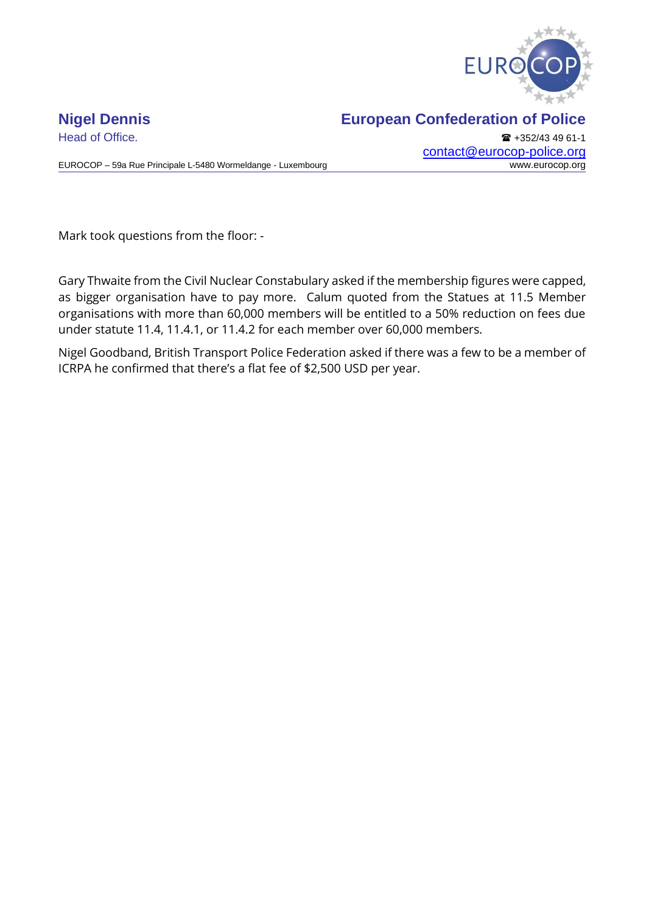

EUROCOP – 59a Rue Principale L-5480 Wormeldange - Luxembourg

## **Nigel Dennis European Confederation of Police**

Head of Office. **+352/43 49 61-1** [contact@eurocop-police.org](mailto:jv@eurocop-police.org)<br>www.eurocop.org

Mark took questions from the floor: -

Gary Thwaite from the Civil Nuclear Constabulary asked if the membership figures were capped, as bigger organisation have to pay more. Calum quoted from the Statues at 11.5 Member organisations with more than 60,000 members will be entitled to a 50% reduction on fees due under statute 11.4, 11.4.1, or 11.4.2 for each member over 60,000 members.

Nigel Goodband, British Transport Police Federation asked if there was a few to be a member of ICRPA he confirmed that there's a flat fee of \$2,500 USD per year.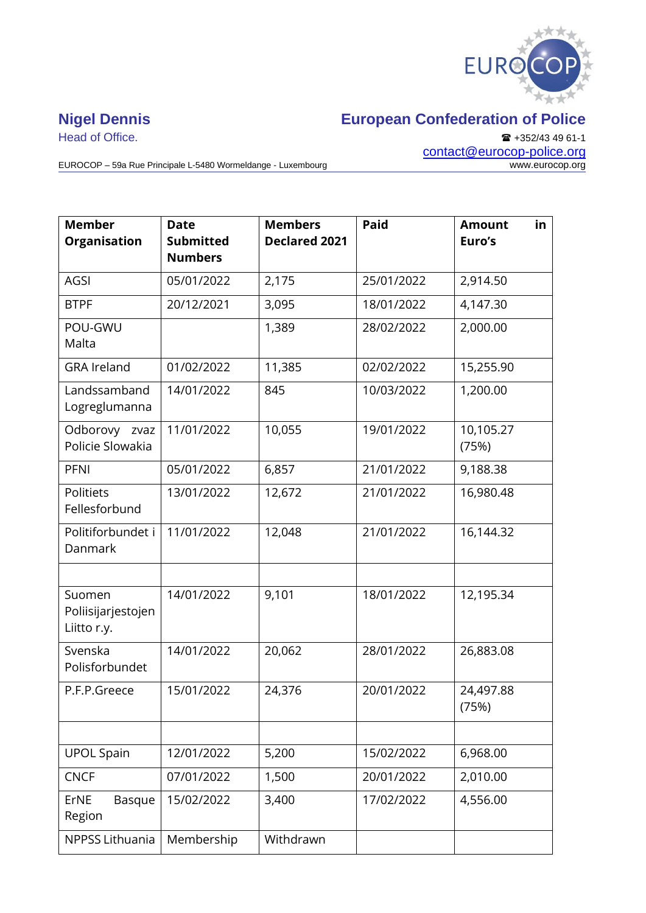

EUROCOP – 59a Rue Principale L-5480 Wormeldange - Luxembourg

Head of Office. ■ +352/43 49 61-1 [contact@eurocop-police.org](mailto:jv@eurocop-police.org)

| <b>Member</b><br><b>Organisation</b>        | <b>Date</b><br><b>Submitted</b><br><b>Numbers</b> | <b>Members</b><br><b>Declared 2021</b> | <b>Paid</b> | in<br><b>Amount</b><br>Euro's |
|---------------------------------------------|---------------------------------------------------|----------------------------------------|-------------|-------------------------------|
| <b>AGSI</b>                                 | 05/01/2022                                        | 2,175                                  | 25/01/2022  | 2,914.50                      |
| <b>BTPF</b>                                 | 20/12/2021                                        | 3,095                                  | 18/01/2022  | 4,147.30                      |
| POU-GWU<br>Malta                            |                                                   | 1,389                                  | 28/02/2022  | 2,000.00                      |
| <b>GRA Ireland</b>                          | 01/02/2022                                        | 11,385                                 | 02/02/2022  | 15,255.90                     |
| Landssamband<br>Logreglumanna               | 14/01/2022                                        | 845                                    | 10/03/2022  | 1,200.00                      |
| Odborovy zvaz<br>Policie Slowakia           | 11/01/2022                                        | 10,055                                 | 19/01/2022  | 10,105.27<br>(75%)            |
| <b>PFNI</b>                                 | 05/01/2022                                        | 6,857                                  | 21/01/2022  | 9,188.38                      |
| Politiets<br>Fellesforbund                  | 13/01/2022                                        | 12,672                                 | 21/01/2022  | 16,980.48                     |
| Politiforbundet i<br>Danmark                | 11/01/2022                                        | 12,048                                 | 21/01/2022  | 16,144.32                     |
|                                             |                                                   |                                        |             |                               |
| Suomen<br>Poliisijarjestojen<br>Liitto r.y. | 14/01/2022                                        | 9,101                                  | 18/01/2022  | 12,195.34                     |
| Svenska<br>Polisforbundet                   | 14/01/2022                                        | 20,062                                 | 28/01/2022  | 26,883.08                     |
| P.F.P.Greece                                | 15/01/2022                                        | 24,376                                 | 20/01/2022  | 24,497.88<br>(75%)            |
|                                             |                                                   |                                        |             |                               |
| <b>UPOL Spain</b>                           | 12/01/2022                                        | 5,200                                  | 15/02/2022  | 6,968.00                      |
| <b>CNCF</b>                                 | 07/01/2022                                        | 1,500                                  | 20/01/2022  | 2,010.00                      |
| ErNE<br><b>Basque</b><br>Region             | 15/02/2022                                        | 3,400                                  | 17/02/2022  | 4,556.00                      |
| NPPSS Lithuania                             | Membership                                        | Withdrawn                              |             |                               |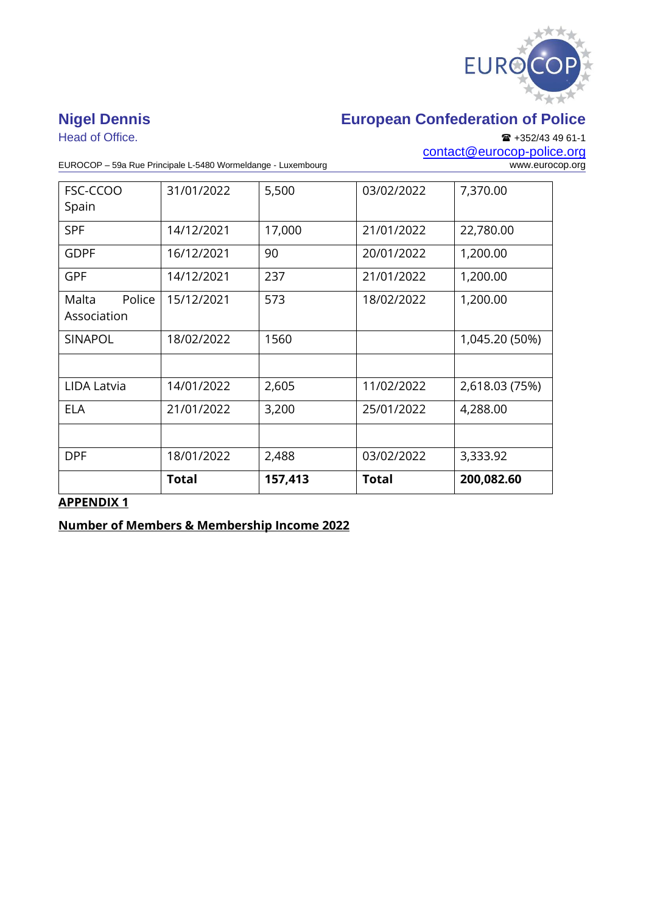

Head of Office. ■ +352/43 49 61-1

## **Nigel Dennis European Confederation of Police**

[contact@eurocop-police.org](mailto:jv@eurocop-police.org)

EUROCOP – 59a Rue Principale L-5480 Wormeldange - Luxembourg

| FSC-CCOO<br>Spain              | 31/01/2022   | 5,500   | 03/02/2022   | 7,370.00       |
|--------------------------------|--------------|---------|--------------|----------------|
| <b>SPF</b>                     | 14/12/2021   | 17,000  | 21/01/2022   | 22,780.00      |
| <b>GDPF</b>                    | 16/12/2021   | 90      | 20/01/2022   | 1,200.00       |
| <b>GPF</b>                     | 14/12/2021   | 237     | 21/01/2022   | 1,200.00       |
| Malta<br>Police<br>Association | 15/12/2021   | 573     | 18/02/2022   | 1,200.00       |
| <b>SINAPOL</b>                 | 18/02/2022   | 1560    |              | 1,045.20 (50%) |
|                                |              |         |              |                |
| LIDA Latvia                    | 14/01/2022   | 2,605   | 11/02/2022   | 2,618.03 (75%) |
| <b>ELA</b>                     | 21/01/2022   | 3,200   | 25/01/2022   | 4,288.00       |
|                                |              |         |              |                |
| <b>DPF</b>                     | 18/01/2022   | 2,488   | 03/02/2022   | 3,333.92       |
|                                | <b>Total</b> | 157,413 | <b>Total</b> | 200,082.60     |

## **APPENDIX 1**

**Number of Members & Membership Income 2022**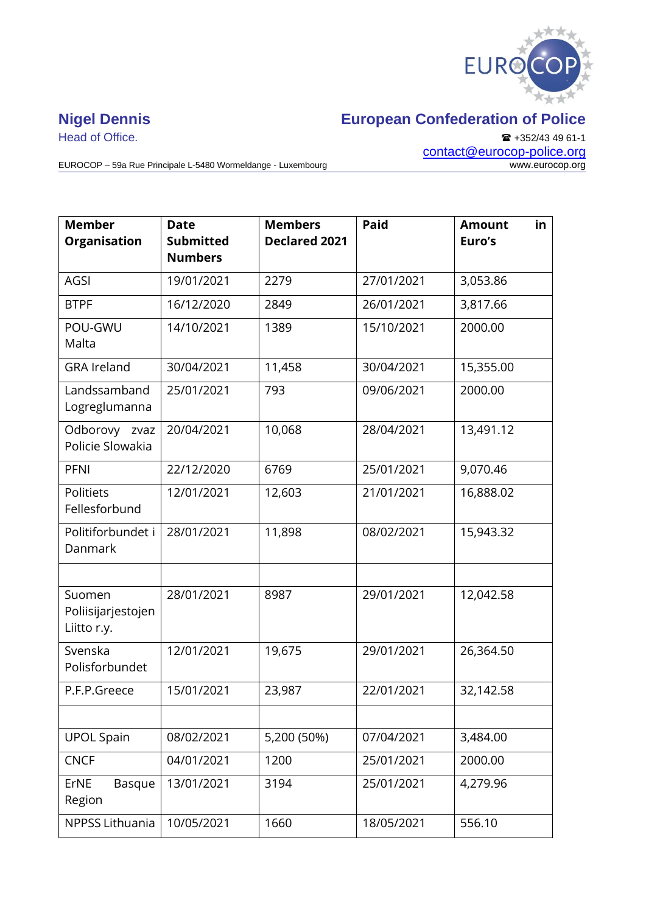

EUROCOP – 59a Rue Principale L-5480 Wormeldange - Luxembourg

Head of Office. ■ +352/43 49 61-1 [contact@eurocop-police.org](mailto:jv@eurocop-police.org)

| <b>Member</b><br><b>Organisation</b>        | <b>Date</b><br><b>Submitted</b><br><b>Numbers</b> | <b>Members</b><br><b>Declared 2021</b> | <b>Paid</b> | <b>Amount</b><br>in<br>Euro's |
|---------------------------------------------|---------------------------------------------------|----------------------------------------|-------------|-------------------------------|
| AGSI                                        | 19/01/2021                                        | 2279                                   | 27/01/2021  | 3,053.86                      |
| <b>BTPF</b>                                 | 16/12/2020                                        | 2849                                   | 26/01/2021  | 3,817.66                      |
| POU-GWU<br>Malta                            | 14/10/2021                                        | 1389                                   | 15/10/2021  | 2000.00                       |
| <b>GRA Ireland</b>                          | 30/04/2021                                        | 11,458                                 | 30/04/2021  | 15,355.00                     |
| Landssamband<br>Logreglumanna               | 25/01/2021                                        | 793                                    | 09/06/2021  | 2000.00                       |
| Odborovy zvaz<br>Policie Slowakia           | 20/04/2021                                        | 10,068                                 | 28/04/2021  | 13,491.12                     |
| <b>PFNI</b>                                 | 22/12/2020                                        | 6769                                   | 25/01/2021  | 9,070.46                      |
| Politiets<br>Fellesforbund                  | 12/01/2021                                        | 12,603                                 | 21/01/2021  | 16,888.02                     |
| Politiforbundet i<br>Danmark                | 28/01/2021                                        | 11,898                                 | 08/02/2021  | 15,943.32                     |
| Suomen<br>Poliisijarjestojen<br>Liitto r.y. | 28/01/2021                                        | 8987                                   | 29/01/2021  | 12,042.58                     |
| Svenska<br>Polisforbundet                   | 12/01/2021                                        | 19,675                                 | 29/01/2021  | 26,364.50                     |
| P.F.P.Greece                                | 15/01/2021                                        | 23,987                                 | 22/01/2021  | 32,142.58                     |
|                                             |                                                   |                                        |             |                               |
| <b>UPOL Spain</b>                           | 08/02/2021                                        | 5,200 (50%)                            | 07/04/2021  | 3,484.00                      |
| <b>CNCF</b>                                 | 04/01/2021                                        | 1200                                   | 25/01/2021  | 2000.00                       |
| ErNE<br><b>Basque</b><br>Region             | 13/01/2021                                        | 3194                                   | 25/01/2021  | 4,279.96                      |
| NPPSS Lithuania                             | 10/05/2021                                        | 1660                                   | 18/05/2021  | 556.10                        |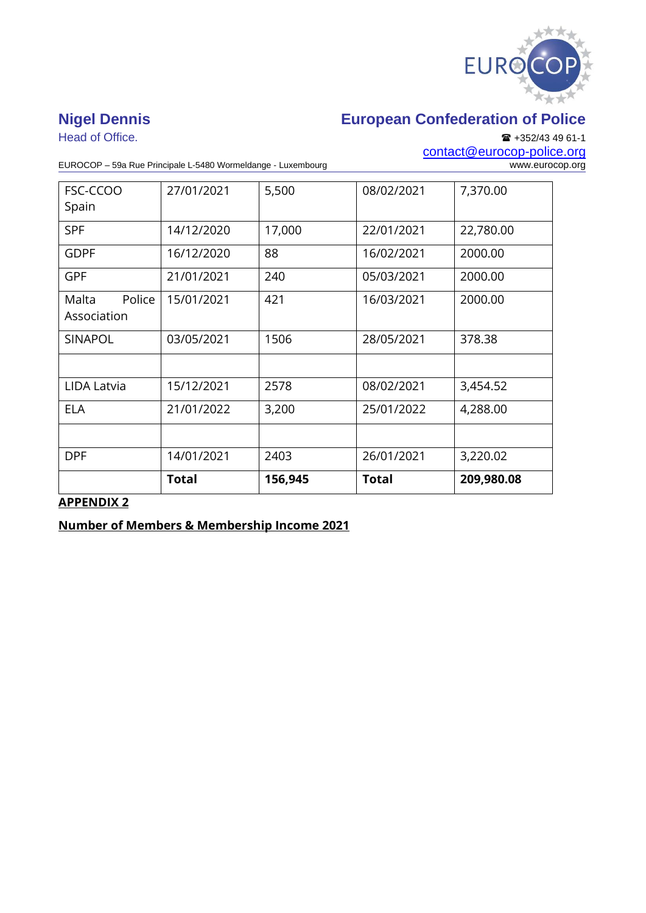

Head of Office. ■ +352/43 49 61-1 [contact@eurocop-police.org](mailto:jv@eurocop-police.org)

EUROCOP – 59a Rue Principale L-5480 Wormeldange - Luxembourg

| FSC-CCOO                       | 27/01/2021   | 5,500   | 08/02/2021   | 7,370.00   |
|--------------------------------|--------------|---------|--------------|------------|
| Spain                          |              |         |              |            |
| <b>SPF</b>                     | 14/12/2020   | 17,000  | 22/01/2021   | 22,780.00  |
| <b>GDPF</b>                    | 16/12/2020   | 88      | 16/02/2021   | 2000.00    |
| <b>GPF</b>                     | 21/01/2021   | 240     | 05/03/2021   | 2000.00    |
| Malta<br>Police<br>Association | 15/01/2021   | 421     | 16/03/2021   | 2000.00    |
| <b>SINAPOL</b>                 | 03/05/2021   | 1506    | 28/05/2021   | 378.38     |
|                                |              |         |              |            |
| LIDA Latvia                    | 15/12/2021   | 2578    | 08/02/2021   | 3,454.52   |
| <b>ELA</b>                     | 21/01/2022   | 3,200   | 25/01/2022   | 4,288.00   |
|                                |              |         |              |            |
| <b>DPF</b>                     | 14/01/2021   | 2403    | 26/01/2021   | 3,220.02   |
|                                | <b>Total</b> | 156,945 | <b>Total</b> | 209,980.08 |

## **APPENDIX 2**

**Number of Members & Membership Income 2021**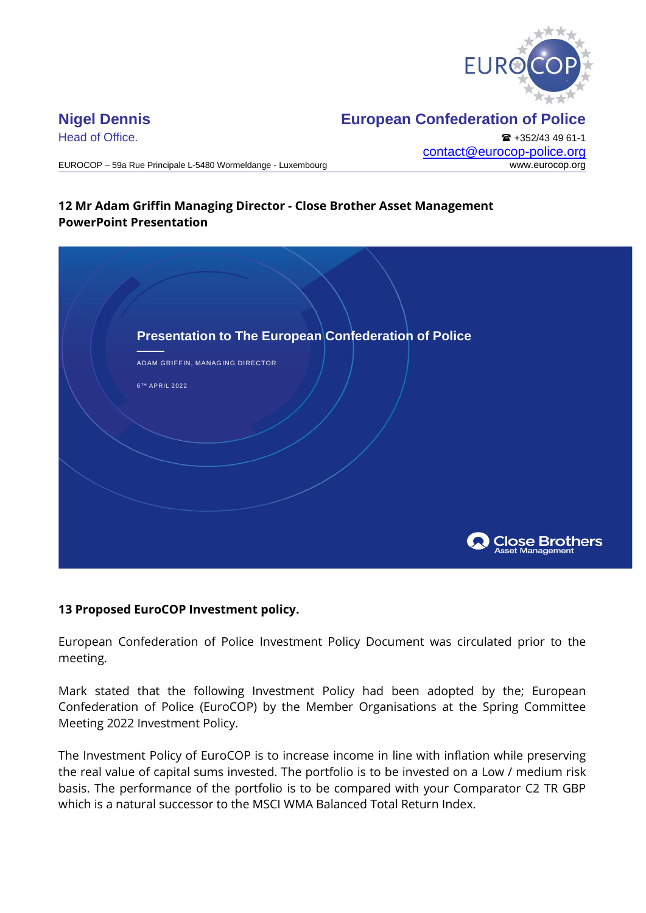

Head of Office. **+352/43 49 61-1** [contact@eurocop-police.org](mailto:jv@eurocop-police.org)

EUROCOP – 59a Rue Principale L-5480 Wormeldange - Luxembourg www.eurocop.org

## **12 Mr Adam Griffin Managing Director - Close Brother Asset Management PowerPoint Presentation**

| Presentation to The European Confederation of Police<br>ADAM GRIFFIN, MANAGING DIRECTOR<br>6TH APRIL 2022 |                                    |
|-----------------------------------------------------------------------------------------------------------|------------------------------------|
|                                                                                                           |                                    |
|                                                                                                           |                                    |
|                                                                                                           | Close Brothers<br>Asset Management |

## **13 Proposed EuroCOP Investment policy.**

European Confederation of Police Investment Policy Document was circulated prior to the meeting.

Mark stated that the following Investment Policy had been adopted by the; European Confederation of Police (EuroCOP) by the Member Organisations at the Spring Committee Meeting 2022 Investment Policy.

The Investment Policy of EuroCOP is to increase income in line with inflation while preserving the real value of capital sums invested. The portfolio is to be invested on a Low / medium risk basis. The performance of the portfolio is to be compared with your Comparator C2 TR GBP which is a natural successor to the MSCI WMA Balanced Total Return Index.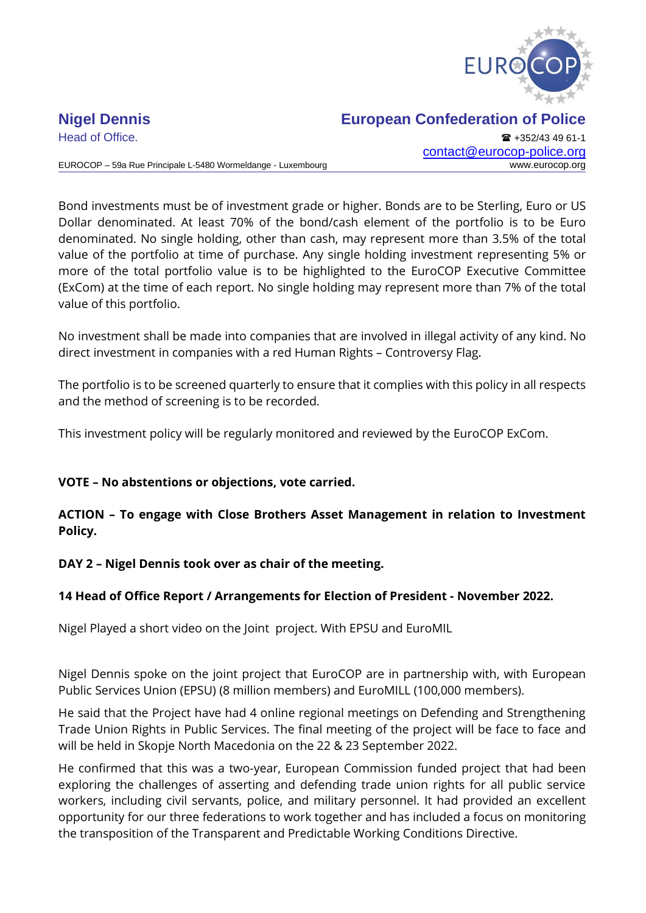

Head of Office. **+352/43 49 61-1** [contact@eurocop-police.org](mailto:jv@eurocop-police.org)

EUROCOP – 59a Rue Principale L-5480 Wormeldange - Luxembourg www.eurocop.org

Bond investments must be of investment grade or higher. Bonds are to be Sterling, Euro or US Dollar denominated. At least 70% of the bond/cash element of the portfolio is to be Euro denominated. No single holding, other than cash, may represent more than 3.5% of the total value of the portfolio at time of purchase. Any single holding investment representing 5% or more of the total portfolio value is to be highlighted to the EuroCOP Executive Committee (ExCom) at the time of each report. No single holding may represent more than 7% of the total value of this portfolio.

No investment shall be made into companies that are involved in illegal activity of any kind. No direct investment in companies with a red Human Rights – Controversy Flag.

The portfolio is to be screened quarterly to ensure that it complies with this policy in all respects and the method of screening is to be recorded.

This investment policy will be regularly monitored and reviewed by the EuroCOP ExCom.

## **VOTE – No abstentions or objections, vote carried.**

## **ACTION – To engage with Close Brothers Asset Management in relation to Investment Policy.**

## **DAY 2 – Nigel Dennis took over as chair of the meeting.**

## **14 Head of Office Report / Arrangements for Election of President - November 2022.**

Nigel Played a short video on the Joint project. With EPSU and EuroMIL

Nigel Dennis spoke on the joint project that EuroCOP are in partnership with, with European Public Services Union (EPSU) (8 million members) and EuroMILL (100,000 members).

He said that the Project have had 4 online regional meetings on Defending and Strengthening Trade Union Rights in Public Services. The final meeting of the project will be face to face and will be held in Skopje North Macedonia on the 22 & 23 September 2022.

He confirmed that this was a two-year, European Commission funded project that had been exploring the challenges of asserting and defending trade union rights for all public service workers, including civil servants, police, and military personnel. It had provided an excellent opportunity for our three federations to work together and has included a focus on monitoring the transposition of the Transparent and Predictable Working Conditions Directive.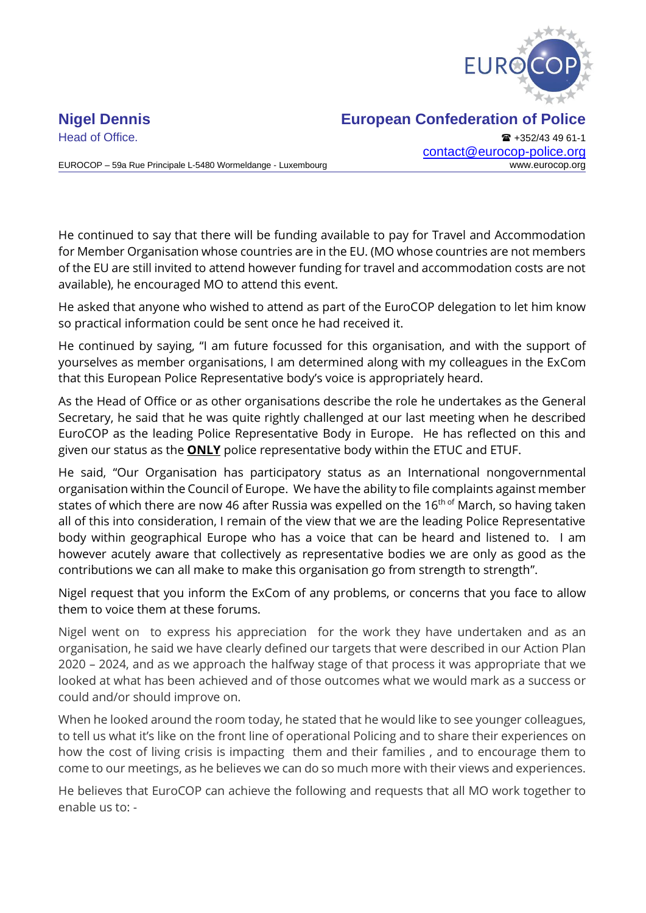

EUROCOP – 59a Rue Principale L-5480 Wormeldange - Luxembourg www.eurocop.org

Head of Office. **All and Secure 2018** +352/43 49 61-1 [contact@eurocop-police.org](mailto:jv@eurocop-police.org)

He continued to say that there will be funding available to pay for Travel and Accommodation for Member Organisation whose countries are in the EU. (MO whose countries are not members of the EU are still invited to attend however funding for travel and accommodation costs are not available), he encouraged MO to attend this event.

He asked that anyone who wished to attend as part of the EuroCOP delegation to let him know so practical information could be sent once he had received it.

He continued by saying, "I am future focussed for this organisation, and with the support of yourselves as member organisations, I am determined along with my colleagues in the ExCom that this European Police Representative body's voice is appropriately heard.

As the Head of Office or as other organisations describe the role he undertakes as the General Secretary, he said that he was quite rightly challenged at our last meeting when he described EuroCOP as the leading Police Representative Body in Europe. He has reflected on this and given our status as the **ONLY** police representative body within the ETUC and ETUF.

He said, "Our Organisation has participatory status as an International nongovernmental organisation within the Council of Europe. We have the ability to file complaints against member states of which there are now 46 after Russia was expelled on the  $16<sup>th of</sup>$  March, so having taken all of this into consideration, I remain of the view that we are the leading Police Representative body within geographical Europe who has a voice that can be heard and listened to. I am however acutely aware that collectively as representative bodies we are only as good as the contributions we can all make to make this organisation go from strength to strength".

Nigel request that you inform the ExCom of any problems, or concerns that you face to allow them to voice them at these forums.

Nigel went on to express his appreciation for the work they have undertaken and as an organisation, he said we have clearly defined our targets that were described in our Action Plan 2020 – 2024, and as we approach the halfway stage of that process it was appropriate that we looked at what has been achieved and of those outcomes what we would mark as a success or could and/or should improve on.

When he looked around the room today, he stated that he would like to see younger colleagues, to tell us what it's like on the front line of operational Policing and to share their experiences on how the cost of living crisis is impacting them and their families , and to encourage them to come to our meetings, as he believes we can do so much more with their views and experiences.

He believes that EuroCOP can achieve the following and requests that all MO work together to enable us to: -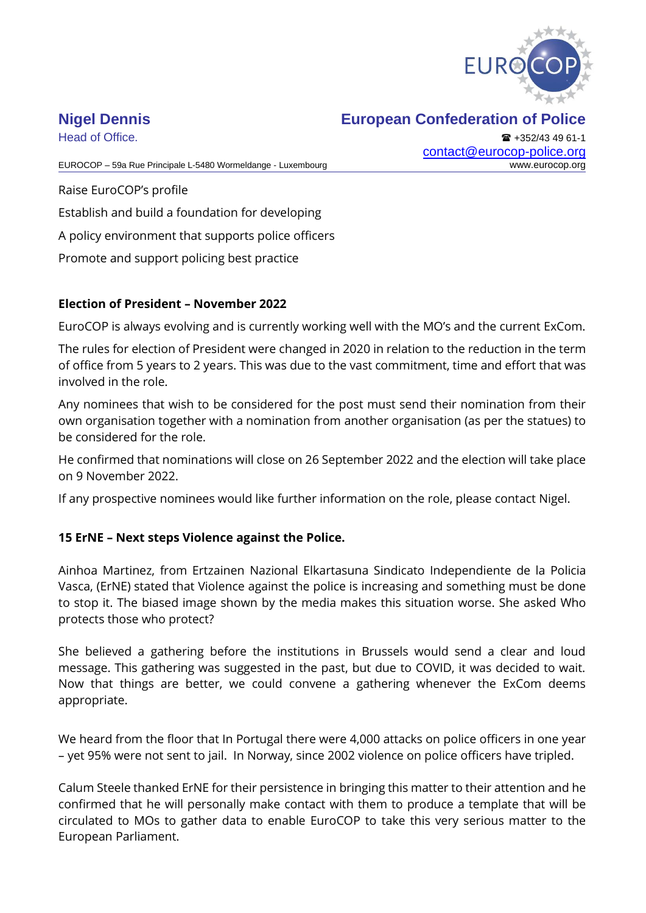

Head of Office. **+352/43 49 61-1** [contact@eurocop-police.org](mailto:jv@eurocop-police.org)

EUROCOP – 59a Rue Principale L-5480 Wormeldange - Luxembourg www.eurocop.org

Raise EuroCOP's profile Establish and build a foundation for developing A policy environment that supports police officers Promote and support policing best practice

## **Election of President – November 2022**

EuroCOP is always evolving and is currently working well with the MO's and the current ExCom.

The rules for election of President were changed in 2020 in relation to the reduction in the term of office from 5 years to 2 years. This was due to the vast commitment, time and effort that was involved in the role.

Any nominees that wish to be considered for the post must send their nomination from their own organisation together with a nomination from another organisation (as per the statues) to be considered for the role.

He confirmed that nominations will close on 26 September 2022 and the election will take place on 9 November 2022.

If any prospective nominees would like further information on the role, please contact Nigel.

## **15 ErNE – Next steps Violence against the Police.**

Ainhoa Martinez, from Ertzainen Nazional Elkartasuna Sindicato Independiente de la Policia Vasca, (ErNE) stated that Violence against the police is increasing and something must be done to stop it. The biased image shown by the media makes this situation worse. She asked Who protects those who protect?

She believed a gathering before the institutions in Brussels would send a clear and loud message. This gathering was suggested in the past, but due to COVID, it was decided to wait. Now that things are better, we could convene a gathering whenever the ExCom deems appropriate.

We heard from the floor that In Portugal there were 4,000 attacks on police officers in one year – yet 95% were not sent to jail. In Norway, since 2002 violence on police officers have tripled.

Calum Steele thanked ErNE for their persistence in bringing this matter to their attention and he confirmed that he will personally make contact with them to produce a template that will be circulated to MOs to gather data to enable EuroCOP to take this very serious matter to the European Parliament.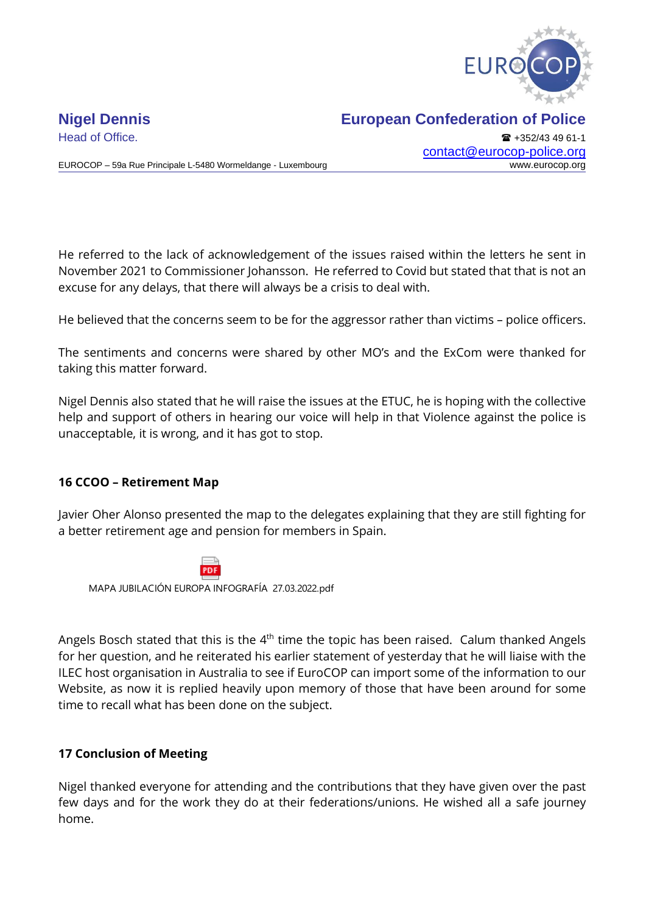

EUROCOP – 59a Rue Principale L-5480 Wormeldange - Luxembourg www.eurocop.org

Head of Office. **+352/43 49 61-1** [contact@eurocop-police.org](mailto:jv@eurocop-police.org)

He referred to the lack of acknowledgement of the issues raised within the letters he sent in November 2021 to Commissioner Johansson. He referred to Covid but stated that that is not an excuse for any delays, that there will always be a crisis to deal with.

He believed that the concerns seem to be for the aggressor rather than victims – police officers.

The sentiments and concerns were shared by other MO's and the ExCom were thanked for taking this matter forward.

Nigel Dennis also stated that he will raise the issues at the ETUC, he is hoping with the collective help and support of others in hearing our voice will help in that Violence against the police is unacceptable, it is wrong, and it has got to stop.

## **16 CCOO – Retirement Map**

Javier Oher Alonso presented the map to the delegates explaining that they are still fighting for a better retirement age and pension for members in Spain.



MAPA JUBILACIÓN EUROPA INFOGRAFÍA 27.03.2022.pdf

Angels Bosch stated that this is the  $4<sup>th</sup>$  time the topic has been raised. Calum thanked Angels for her question, and he reiterated his earlier statement of yesterday that he will liaise with the ILEC host organisation in Australia to see if EuroCOP can import some of the information to our Website, as now it is replied heavily upon memory of those that have been around for some time to recall what has been done on the subject.

### **17 Conclusion of Meeting**

Nigel thanked everyone for attending and the contributions that they have given over the past few days and for the work they do at their federations/unions. He wished all a safe journey home.